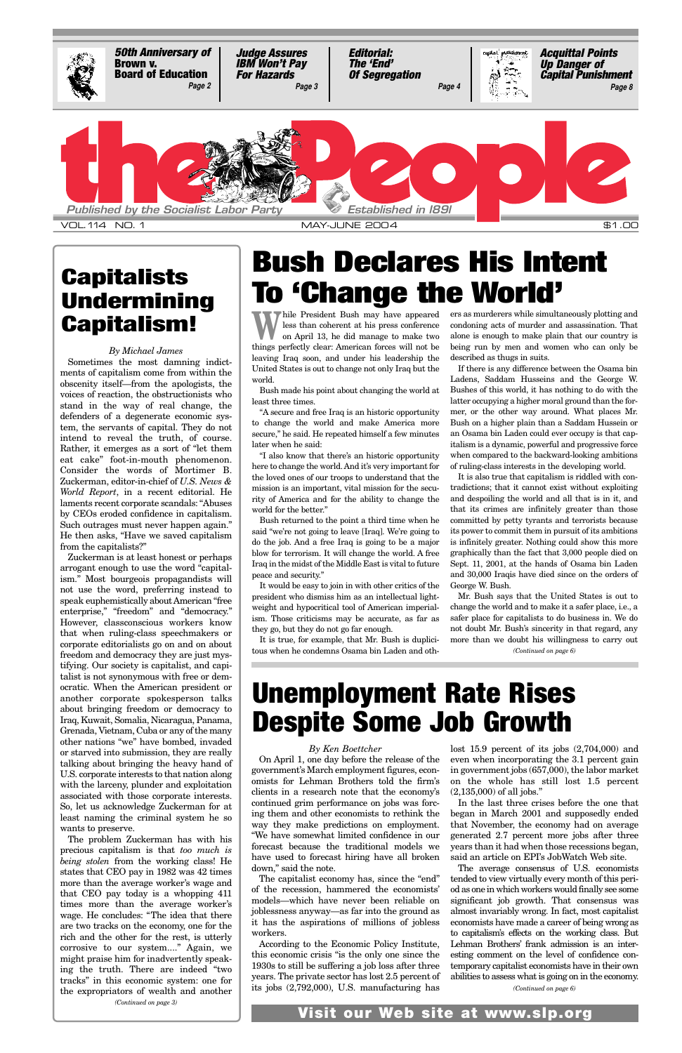While President Bush may have appeared<br>
on April 13, he did manage to make two<br>
on April 13, he did manage to make two less than coherent at his press conference things perfectly clear: American forces will not be leaving Iraq soon, and under his leadership the United States is out to change not only Iraq but the world.

Bush made his point about changing the world at least three times.

"A secure and free Iraq is an historic opportunity to change the world and make America more secure," he said. He repeated himself a few minutes later when he said:

"I also know that there's an historic opportunity here to change the world. And it's very important for the loved ones of our troops to understand that the mission is an important, vital mission for the security of America and for the ability to change the world for the better."

Bush returned to the point a third time when he said "we're not going to leave [Iraq]. We're going to do the job. And a free Iraq is going to be a major blow for terrorism. It will change the world. A free Iraq in the midst of the Middle East is vital to future peace and security."

It would be easy to join in with other critics of the president who dismiss him as an intellectual lightweight and hypocritical tool of American imperialism. Those criticisms may be accurate, as far as they go, but they do not go far enough.

It is true, for example, that Mr. Bush is duplicitous when he condemns Osama bin Laden and others as murderers while simultaneously plotting and condoning acts of murder and assassination. That alone is enough to make plain that our country is being run by men and women who can only be described as thugs in suits.

If there is any difference between the Osama bin Ladens, Saddam Husseins and the George W. Bushes of this world, it has nothing to do with the latter occupying a higher moral ground than the former, or the other way around. What places Mr. Bush on a higher plain than a Saddam Hussein or an Osama bin Laden could ever occupy is that capitalism is a dynamic, powerful and progressive force when compared to the backward-looking ambitions of ruling-class interests in the developing world.

It is also true that capitalism is riddled with contradictions; that it cannot exist without exploiting and despoiling the world and all that is in it, and that its crimes are infinitely greater than those committed by petty tyrants and terrorists because its power to commit them in pursuit of its ambitions is infinitely greater. Nothing could show this more graphically than the fact that 3,000 people died on Sept. 11, 2001, at the hands of Osama bin Laden and 30,000 Iraqis have died since on the orders of George W. Bush.

# **Bush Declares His Intent To 'Change the World'**

### *By Michael James*

Sometimes the most damning indictments of capitalism come from within the obscenity itself—from the apologists, the voices of reaction, the obstructionists who stand in the way of real change, the defenders of a degenerate economic system, the servants of capital. They do not intend to reveal the truth, of course. Rather, it emerges as a sort of "let them eat cake" foot-in-mouth phenomenon. Consider the words of Mortimer B. Zuckerman, editor-in-chief of *U.S. News & World Report*, in a recent editorial. He laments recent corporate scandals: "Abuses by CEOs eroded confidence in capitalism. Such outrages must never happen again." He then asks, "Have we saved capitalism from the capitalists?"

> Mr. Bush says that the United States is out to change the world and to make it a safer place, i.e., a safer place for capitalists to do business in. We do not doubt Mr. Bush's sincerity in that regard, any more than we doubt his willingness to carry out *(Continued on page 6)*



## **Capitalists Undermining Capitalism!**

# **Unemployment Rate Rises Despite Some Job Growth**

### *By Ken Boettcher*

Zuckerman is at least honest or perhaps arrogant enough to use the word "capitalism." Most bourgeois propagandists will not use the word, preferring instead to speak euphemistically about American "free enterprise," "freedom" and "democracy." However, classconscious workers know that when ruling-class speechmakers or corporate editorialists go on and on about freedom and democracy they are just mystifying. Our society is capitalist, and capitalist is not synonymous with free or democratic. When the American president or another corporate spokesperson talks about bringing freedom or democracy to Iraq, Kuwait, Somalia, Nicaragua, Panama, Grenada, Vietnam, Cuba or any of the many other nations "we" have bombed, invaded or starved into submission, they are really talking about bringing the heavy hand of U.S. corporate interests to that nation along with the larceny, plunder and exploitation associated with those corporate interests. So, let us acknowledge Zuckerman for at least naming the criminal system he so wants to preserve. The problem Zuckerman has with his precious capitalism is that *too much is being stolen* from the working class! He states that CEO pay in 1982 was 42 times more than the average worker's wage and that CEO pay today is a whopping 411 times more than the average worker's wage. He concludes: "The idea that there are two tracks on the economy, one for the rich and the other for the rest, is utterly corrosive to our system...." Again, we might praise him for inadvertently speaking the truth. There are indeed "two tracks" in this economic system: one for the expropriators of wealth and another *(Continued on page 3)*

omists for Lehman Brothers told the firm's clients in a research note that the economy's continued grim performance on jobs was forcing them and other economists to rethink the way they make predictions on employment. "We have somewhat limited confidence in our forecast because the traditional models we have used to forecast hiring have all broken down," said the note.

The capitalist economy has, since the "end" of the recession, hammered the economists' models—which have never been reliable on joblessness anyway—as far into the ground as it has the aspirations of millions of jobless workers.

According to the Economic Policy Institute, this economic crisis "is the only one since the 1930s to still be suffering a job loss after three years. The private sector has lost 2.5 percent of its jobs (2,792,000), U.S. manufacturing has

On April 1, one day before the release of the even when incorporating the 3.1 percent gain government's March employment figures, econ-in government jobs (657,000), the labor market lost 15.9 percent of its jobs (2,704,000) and on the whole has still lost 1.5 percent (2,135,000) of all jobs." In the last three crises before the one that began in March 2001 and supposedly ended that November, the economy had on average generated 2.7 percent more jobs after three years than it had when those recessions began, said an article on EPI's JobWatch Web site. The average consensus of U.S. economists tended to view virtually every month of this period as one in which workers would finally see some significant job growth. That consensus was almost invariably wrong. In fact, most capitalist economists have made a career of being wrong as to capitalism's effects on the working class. But Lehman Brothers' frank admission is an interesting comment on the level of confidence contemporary capitalist economists have in their own abilities to assess what is going on in the economy.

*(Continued on page 6)*

### **Visit our Web site at www.slp.org**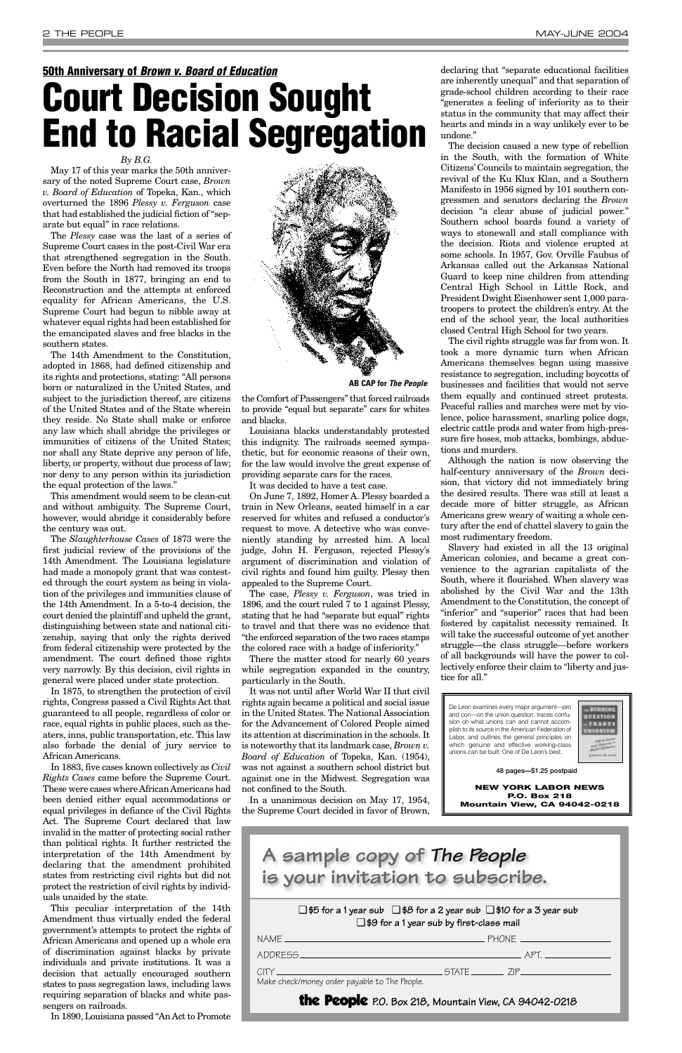### *By B.G.*

May 17 of this year marks the 50th anniversary of the noted Supreme Court case, *Brown v. Board of Education* of Topeka, Kan., which overturned the 1896 *Plessy v. Ferguson* case that had established the judicial fiction of "separate but equal" in race relations.

The *Plessy* case was the last of a series of Supreme Court cases in the post-Civil War era that strengthened segregation in the South. Even before the North had removed its troops from the South in 1877, bringing an end to Reconstruction and the attempts at enforced equality for African Americans, the U.S. Supreme Court had begun to nibble away at whatever equal rights had been established for the emancipated slaves and free blacks in the southern states.

The 14th Amendment to the Constitution, adopted in 1868, had defined citizenship and its rights and protections, stating: "All persons born or naturalized in the United States, and subject to the jurisdiction thereof, are citizens of the United States and of the State wherein they reside. No State shall make or enforce any law which shall abridge the privileges or immunities of citizens of the United States; nor shall any State deprive any person of life, liberty, or property, without due process of law; nor deny to any person within its jurisdiction the equal protection of the laws."

This amendment would seem to be clean-cut and without ambiguity. The Supreme Court, however, would abridge it considerably before the century was out.

The *Slaughterhouse Cases* of 1873 were the first judicial review of the provisions of the 14th Amendment. The Louisiana legislature had made a monopoly grant that was contested through the court system as being in violation of the privileges and immunities clause of the 14th Amendment. In a 5-to-4 decision, the court denied the plaintiff and upheld the grant, distinguishing between state and national citizenship, saying that only the rights derived from federal citizenship were protected by the amendment. The court defined those rights very narrowly. By this decision, civil rights in general were placed under state protection.

In 1875, to strengthen the protection of civil rights, Congress passed a Civil Rights Act that guaranteed to all people, regardless of color or race, equal rights in public places, such as theaters, inns, public transportation, etc. This law also forbade the denial of jury service to African Americans.

In 1883, five cases known collectively as *Civil*

*Rights Cases* came before the Supreme Court. These were cases where African Americans had been denied either equal accommodations or equal privileges in defiance of the Civil Rights Act. The Supreme Court declared that law invalid in the matter of protecting social rather than political rights. It further restricted the interpretation of the 14th Amendment by declaring that the amendment prohibited states from restricting civil rights but did not protect the restriction of civil rights by individuals unaided by the state.

This peculiar interpretation of the 14th Amendment thus virtually ended the federal government's attempts to protect the rights of African Americans and opened up a whole era of discrimination against blacks by private individuals and private institutions. It was a decision that actually encouraged southern states to pass segregation laws, including laws requiring separation of blacks and white passengers on railroads.

In 1890, Louisiana passed "An Act to Promote

the Comfort of Passengers" that forced railroads to provide "equal but separate" cars for whites and blacks.

Louisiana blacks understandably protested this indignity. The railroads seemed sympathetic, but for economic reasons of their own, for the law would involve the great expense of providing separate cars for the races.

It was decided to have a test case.

On June 7, 1892, Homer A. Plessy boarded a train in New Orleans, seated himself in a car reserved for whites and refused a conductor's request to move. A detective who was conveniently standing by arrested him. A local judge, John H. Ferguson, rejected Plessy's argument of discrimination and violation of civil rights and found him guilty. Plessy then appealed to the Supreme Court.

The case, *Plessy v. Ferguson*, was tried in 1896, and the court ruled 7 to 1 against Plessy, stating that he had "separate but equal" rights to travel and that there was no evidence that "the enforced separation of the two races stamps the colored race with a badge of inferiority."

There the matter stood for nearly 60 years while segregation expanded in the country, particularly in the South.

It was not until after World War II that civil rights again became a political and social issue in the United States. The National Association for the Advancement of Colored People aimed its attention at discrimination in the schools. It is noteworthy that its landmark case, *Brown v. Board of Education* of Topeka, Kan. (1954), was not against a southern school district but

against one in the Midwest. Segregation was not confined to the South.

In a unanimous decision on May 17, 1954, the Supreme Court decided in favor of Brown,

declaring that "separate educational facilities are inherently unequal" and that separation of grade-school children according to their race "generates a feeling of inferiority as to their status in the community that may affect their hearts and minds in a way unlikely ever to be undone."

The decision caused a new type of rebellion in the South, with the formation of White Citizens' Councils to maintain segregation, the revival of the Ku Klux Klan, and a Southern Manifesto in 1956 signed by 101 southern congressmen and senators declaring the *Brown* decision "a clear abuse of judicial power." Southern school boards found a variety of ways to stonewall and stall compliance with the decision. Riots and violence erupted at some schools. In 1957, Gov. Orville Faubus of Arkansas called out the Arkansas National Guard to keep nine children from attending Central High School in Little Rock, and President Dwight Eisenhower sent 1,000 paratroopers to protect the children's entry. At the end of the school year, the local authorities closed Central High School for two years.

The civil rights struggle was far from won. It took a more dynamic turn when African Americans themselves began using massive resistance to segregation, including boycotts of businesses and facilities that would not serve them equally and continued street protests. Peaceful rallies and marches were met by violence, police harassment, snarling police dogs, electric cattle prods and water from high-pressure fire hoses, mob attacks, bombings, abductions and murders.

Although the nation is now observing the half-century anniversary of the *Brown* decision, that victory did not immediately bring the desired results. There was still at least a decade more of bitter struggle, as African Americans grew weary of waiting a whole century after the end of chattel slavery to gain the most rudimentary freedom.

Slavery had existed in all the 13 original American colonies, and became a great convenience to the agrarian capitalists of the South, where it flourished. When slavery was abolished by the Civil War and the 13th Amendment to the Constitution, the concept of "inferior" and "superior" races that had been fostered by capitalist necessity remained. It will take the successful outcome of yet another struggle—the class struggle—before workers of all backgrounds will have the power to collectively enforce their claim to "liberty and justice for all."

## **50th Anniversary of** *Brown v. Board of Education* **Court Decision Sought**

**End to Racial Segregation**



**AB CAP for** *The People*

❑ **\$5 for a 1 year sub** ❑ **\$8 for a 2 year sub** ❑ **\$10 for a 3 year sub** ❑ **\$9 for a 1 year sub by first-class mail**

|                                                                                                                                                                 | PHONE |  |
|-----------------------------------------------------------------------------------------------------------------------------------------------------------------|-------|--|
|                                                                                                                                                                 |       |  |
| CITY CHARGE CITY CHARGE CITY CONTROL CITY CHARGE CITY CHARGE CITY CHARGE CITY CHARGE CITY CHARGE CITY CHARGE C<br>Make check/money order payable to The People. |       |  |
| the People P.O. Box 218, Mountain View, CA 94042-0218                                                                                                           |       |  |

**A sample copy of** *The People* **is your invitation to subscribe.** 

De Leon examines every major argument—pro and con—on the union question, traces confusion on what unions can and cannot accomplish to its source in the American Federation of Labor, and outlines the general principles on which genuine and effective working-class unions can be built. One of De Leon's best.



**48 pages—\$1.25 postpaid**

**NEW YORK LABOR NEWS P.O. Box 218 Mountain View, CA 94042-0218**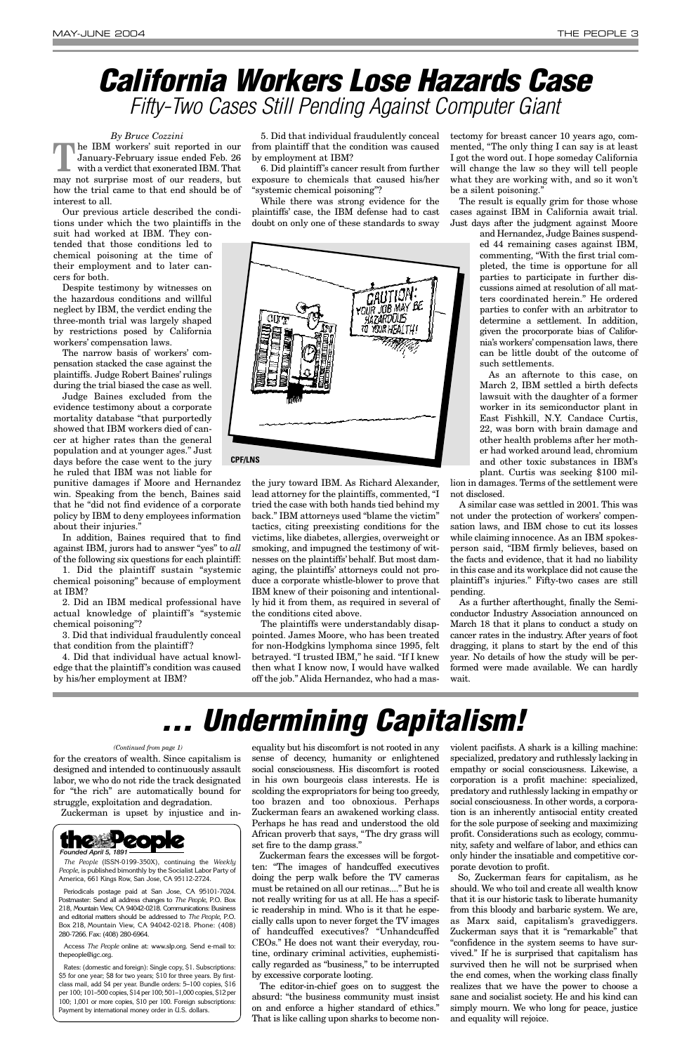### *By Bruce Cozzini*

**The IBM workers' suit reported in our January-February issue ended Feb. 26 with a verdict that exonerated IBM. That** January-February issue ended Feb. 26 with a verdict that exonerated IBM. That may not surprise most of our readers, but how the trial came to that end should be of interest to all.

Our previous article described the conditions under which the two plaintiffs in the

suit had worked at IBM. They contended that those conditions led to chemical poisoning at the time of their employment and to later cancers for both.

Despite testimony by witnesses on the hazardous conditions and willful neglect by IBM, the verdict ending the three-month trial was largely shaped by restrictions posed by California workers' compensation laws.

The narrow basis of workers' compensation stacked the case against the plaintiffs. Judge Robert Baines' rulings during the trial biased the case as well.

Judge Baines excluded from the evidence testimony about a corporate mortality database "that purportedly showed that IBM workers died of cancer at higher rates than the general population and at younger ages." Just days before the case went to the jury he ruled that IBM was not liable for

punitive damages if Moore and Hernandez win. Speaking from the bench, Baines said that he "did not find evidence of a corporate policy by IBM to deny employees information about their injuries."

In addition, Baines required that to find against IBM, jurors had to answer "yes" to *all* of the following six questions for each plaintiff:

1. Did the plaintiff sustain "systemic chemical poisoning" because of employment at IBM?

2. Did an IBM medical professional have actual knowledge of plaintiff's "systemic chemical poisoning"?

3. Did that individual fraudulently conceal that condition from the plaintiff ?

4. Did that individual have actual knowledge that the plaintiff's condition was caused by his/her employment at IBM?

5. Did that individual fraudulently conceal from plaintiff that the condition was caused by employment at IBM?

6. Did plaintiff's cancer result from further exposure to chemicals that caused his/her "systemic chemical poisoning"?

While there was strong evidence for the plaintiffs' case, the IBM defense had to cast doubt on only one of these standards to sway

the jury toward IBM. As Richard Alexander, lead attorney for the plaintiffs, commented, "I tried the case with both hands tied behind my back." IBM attorneys used "blame the victim" tactics, citing preexisting conditions for the victims, like diabetes, allergies, overweight or smoking, and impugned the testimony of witnesses on the plaintiffs' behalf. But most damaging, the plaintiffs' attorneys could not produce a corporate whistle-blower to prove that IBM knew of their poisoning and intentionally hid it from them, as required in several of the conditions cited above.

The plaintiffs were understandably disappointed. James Moore, who has been treated for non-Hodgkins lymphoma since 1995, felt betrayed. "I trusted IBM," he said. "If I knew then what I know now, I would have walked off the job." Alida Hernandez, who had a mastectomy for breast cancer 10 years ago, commented, "The only thing I can say is at least I got the word out. I hope someday California will change the law so they will tell people what they are working with, and so it won't be a silent poisoning."

The result is equally grim for those whose cases against IBM in California await trial. Just days after the judgment against Moore

> and Hernandez, Judge Baines suspended 44 remaining cases against IBM, commenting, "With the first trial completed, the time is opportune for all parties to participate in further discussions aimed at resolution of all matters coordinated herein." He ordered parties to confer with an arbitrator to determine a settlement. In addition, given the procorporate bias of California's workers' compensation laws, there can be little doubt of the outcome of such settlements.

> As an afternote to this case, on March 2, IBM settled a birth defects lawsuit with the daughter of a former worker in its semiconductor plant in East Fishkill, N.Y. Candace Curtis, 22, was born with brain damage and other health problems after her mother had worked around lead, chromium and other toxic substances in IBM's plant. Curtis was seeking \$100 mil-

lion in damages. Terms of the settlement were not disclosed.

A similar case was settled in 2001. This was not under the protection of workers' compensation laws, and IBM chose to cut its losses while claiming innocence. As an IBM spokesperson said, "IBM firmly believes, based on the facts and evidence, that it had no liability in this case and its workplace did not cause the plaintiff's injuries." Fifty-two cases are still pending.

As a further afterthought, finally the Semiconductor Industry Association announced on March 18 that it plans to conduct a study on cancer rates in the industry. After years of foot dragging, it plans to start by the end of this year. No details of how the study will be performed were made available. We can hardly wait.

# *California Workers Lose Hazards Case Fifty-Two Cases Still Pending Against Computer Giant*

for the creators of wealth. Since capitalism is designed and intended to continuously assault

labor, we who do not ride the track designated for "the rich" are automatically bound for struggle, exploitation and degradation.

Zuckerman is upset by injustice and in-

equality but his discomfort is not rooted in any sense of decency, humanity or enlightened social consciousness. His discomfort is rooted

in his own bourgeois class interests. He is scolding the expropriators for being too greedy, too brazen and too obnoxious. Perhaps Zuckerman fears an awakened working class. Perhaps he has read and understood the old African proverb that says, "The dry grass will set fire to the damp grass."

Zuckerman fears the excesses will be forgotten: "The images of handcuffed executives doing the perp walk before the TV cameras must be retained on all our retinas...." But he is not really writing for us at all. He has a specific readership in mind. Who is it that he especially calls upon to never forget the TV images of handcuffed executives? "Unhandcuffed CEOs." He does not want their everyday, routine, ordinary criminal activities, euphemistically regarded as "business," to be interrupted by excessive corporate looting.

The editor-in-chief goes on to suggest the absurd: "the business community must insist on and enforce a higher standard of ethics." That is like calling upon sharks to become nonviolent pacifists. A shark is a killing machine: specialized, predatory and ruthlessly lacking in empathy or social consciousness. Likewise, a corporation is a profit machine: specialized, predatory and ruthlessly lacking in empathy or social consciousness. In other words, a corporation is an inherently antisocial entity created for the sole purpose of seeking and maximizing profit. Considerations such as ecology, community, safety and welfare of labor, and ethics can only hinder the insatiable and competitive corporate devotion to profit. So, Zuckerman fears for capitalism, as he should. We who toil and create all wealth know that it is our historic task to liberate humanity from this bloody and barbaric system. We are, as Marx said, capitalism's gravediggers. Zuckerman says that it is "remarkable" that "confidence in the system seems to have survived." If he is surprised that capitalism has survived then he will not be surprised when the end comes, when the working class finally realizes that we have the power to choose a sane and socialist society. He and his kind can simply mourn. We who long for peace, justice and equality will rejoice.

# *... Undermining Capitalism!*



*The People* (ISSN-0199-350X), continuing the *Weekly People*, is published bimonthly by the Socialist Labor Party of America, 661 Kings Row, San Jose, CA 95112-2724.

Periodicals postage paid at San Jose, CA 95101-7024. Postmaster: Send all address changes to *The People*, P.O. Box 218, Mountain View, CA 94042-0218. Communications: Business and editorial matters should be addressed to *The People*, P.O. Box 218, Mountain View, CA 94042-0218. Phone: (408) 280-7266. Fax: (408) 280-6964.

Access *The People* online at: www.slp.org. Send e-mail to: thepeople@igc.org.

Rates: (domestic and foreign): Single copy, \$1. Subscriptions: \$5 for one year; \$8 for two years; \$10 for three years. By firstclass mail, add \$4 per year. Bundle orders: 5–100 copies, \$16 per 100; 101–500 copies, \$14 per 100; 501–1,000 copies, \$12 per 100; 1,001 or more copies, \$10 per 100. Foreign subscriptions: Payment by international money order in U.S. dollars.

### *(Continued from page 1)*

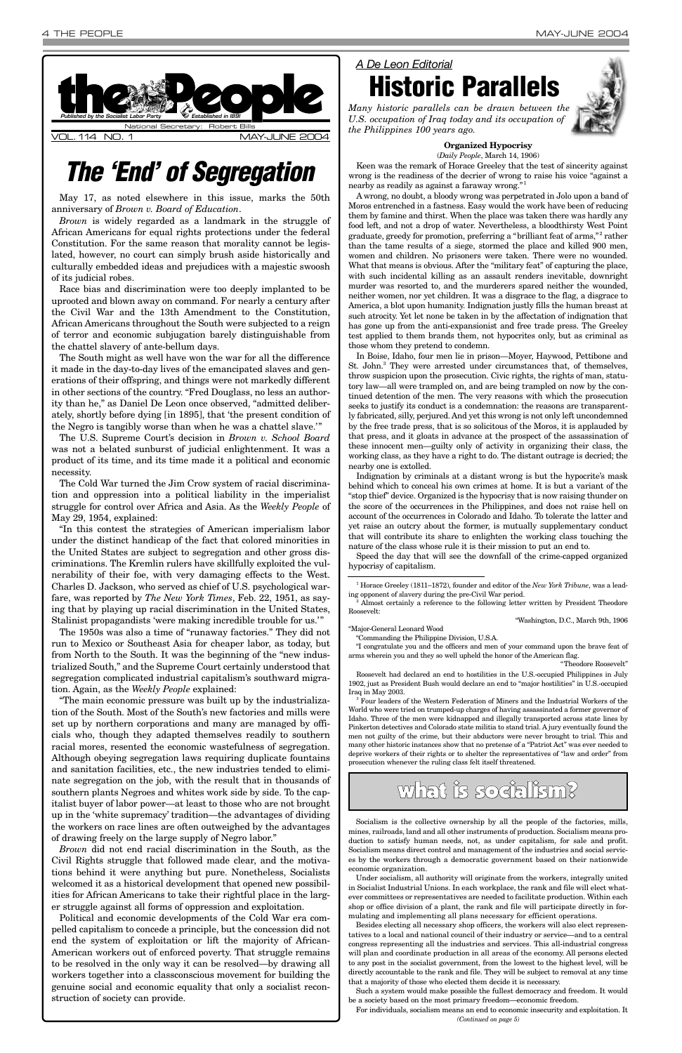May 17, as noted elsewhere in this issue, marks the 50th anniversary of *Brown v. Board of Education*.

*Brown* is widely regarded as a landmark in the struggle of African Americans for equal rights protections under the federal Constitution. For the same reason that morality cannot be legislated, however, no court can simply brush aside historically and culturally embedded ideas and prejudices with a majestic swoosh of its judicial robes.

Race bias and discrimination were too deeply implanted to be uprooted and blown away on command. For nearly a century after the Civil War and the 13th Amendment to the Constitution, African Americans throughout the South were subjected to a reign of terror and economic subjugation barely distinguishable from the chattel slavery of ante-bellum days.

The South might as well have won the war for all the difference it made in the day-to-day lives of the emancipated slaves and generations of their offspring, and things were not markedly different in other sections of the country. "Fred Douglass, no less an authority than he," as Daniel De Leon once observed, "admitted deliberately, shortly before dying [in 1895], that 'the present condition of the Negro is tangibly worse than when he was a chattel slave.'"

The U.S. Supreme Court's decision in *Brown v. School Board* was not a belated sunburst of judicial enlightenment. It was a product of its time, and its time made it a political and economic necessity.

The Cold War turned the Jim Crow system of racial discrimination and oppression into a political liability in the imperialist struggle for control over Africa and Asia. As the *Weekly People* of May 29, 1954, explained:

"In this contest the strategies of American imperialism labor under the distinct handicap of the fact that colored minorities in the United States are subject to segregation and other gross discriminations. The Kremlin rulers have skillfully exploited the vulnerability of their foe, with very damaging effects to the West. Charles D. Jackson, who served as chief of U.S. psychological warfare, was reported by *The New York Times*, Feb. 22, 1951, as saying that by playing up racial discrimination in the United States, Stalinist propagandists 'were making incredible trouble for us.'"

(*Daily People*, March 14, 1906) Keen was the remark of Horace Greeley that the test of sincerity against wrong is the readiness of the decrier of wrong to raise his voice "against a nearby as readily as against a faraway wrong."

The 1950s was also a time of "runaway factories." They did not run to Mexico or Southeast Asia for cheaper labor, as today, but from North to the South. It was the beginning of the "new industrialized South," and the Supreme Court certainly understood that segregation complicated industrial capitalism's southward migration. Again, as the *Weekly People* explained:

"The main economic pressure was built up by the industrialization of the South. Most of the South's new factories and mills were set up by northern corporations and many are managed by officials who, though they adapted themselves readily to southern racial mores, resented the economic wastefulness of segregation. Although obeying segregation laws requiring duplicate fountains and sanitation facilities, etc., the new industries tended to eliminate segregation on the job, with the result that in thousands of southern plants Negroes and whites work side by side. To the capitalist buyer of labor power—at least to those who are not brought up in the 'white supremacy' tradition—the advantages of dividing the workers on race lines are often outweighed by the advantages of drawing freely on the large supply of Negro labor." *Brown* did not end racial discrimination in the South, as the Civil Rights struggle that followed made clear, and the motivations behind it were anything but pure. Nonetheless, Socialists welcomed it as a historical development that opened new possibilities for African Americans to take their rightful place in the larger struggle against all forms of oppression and exploitation. Political and economic developments of the Cold War era compelled capitalism to concede a principle, but the concession did not end the system of exploitation or lift the majority of African-American workers out of enforced poverty. That struggle remains to be resolved in the only way it can be resolved—by drawing all workers together into a classconscious movement for building the genuine social and economic equality that only a socialist reconstruction of society can provide.

ing opponent of slavery during the pre-Civil War period.  $\,^2$  Almost certainly a reference to the following letter written by President Theodore Roosevelt:



### **Organized Hypocrisy**

A wrong, no doubt, a bloody wrong was perpetrated in Jolo upon a band of Moros entrenched in a fastness. Easy would the work have been of reducing them by famine and thirst. When the place was taken there was hardly any food left, and not a drop of water. Nevertheless, a bloodthirsty West Point graduate, greedy for promotion, preferring a "brilliant feat of arms,"<sup>2</sup> rather than the tame results of a siege, stormed the place and killed 900 men, women and children. No prisoners were taken. There were no wounded. What that means is obvious. After the "military feat" of capturing the place, with such incidental killing as an assault renders inevitable, downright murder was resorted to, and the murderers spared neither the wounded, neither women, nor yet children. It was a disgrace to the flag, a disgrace to America, a blot upon humanity. Indignation justly fills the human breast at such atrocity. Yet let none be taken in by the affectation of indignation that has gone up from the anti-expansionist and free trade press. The Greeley test applied to them brands them, not hypocrites only, but as criminal as those whom they pretend to condemn.

In Boise, Idaho, four men lie in prison—Moyer, Haywood, Pettibone and St. John.<sup>3</sup> They were arrested under circumstances that, of themselves, throw suspicion upon the prosecution. Civic rights, the rights of man, statutory law—all were trampled on, and are being trampled on now by the continued detention of the men. The very reasons with which the prosecution seeks to justify its conduct is a condemnation: the reasons are transparently fabricated, silly, perjured. And yet this wrong is not only left uncondemned by the free trade press, that is so solicitous of the Moros, it is applauded by that press, and it gloats in advance at the prospect of the assassination of these innocent men—guilty only of activity in organizing their class, the working class, as they have a right to do. The distant outrage is decried; the nearby one is extolled.

Indignation by criminals at a distant wrong is but the hypocrite's mask behind which to conceal his own crimes at home. It is but a variant of the "stop thief" device. Organized is the hypocrisy that is now raising thunder on the score of the occurrences in the Philippines, and does not raise hell on account of the occurrences in Colorado and Idaho. To tolerate the latter and yet raise an outcry about the former, is mutually supplementary conduct that will contribute its share to enlighten the working class touching the nature of the class whose rule it is their mission to put an end to.

Speed the day that will see the downfall of the crime-capped organized hypocrisy of capitalism.

"Washington, D.C., March 9th, 1906

"Major-General Leonard Wood

"Commanding the Philippine Division, U.S.A. "I congratulate you and the officers and men of your command upon the brave feat of arms wherein you and they so well upheld the honor of the American flag.

"Theodore Roosevelt"

Roosevelt had declared an end to hostilities in the U.S.-occupied Philippines in July 1902, just as President Bush would declare an end to "major hostilities" in U.S.-occupied Iraq in May 2003.

<sup>3</sup> Four leaders of the Western Federation of Miners and the Industrial Workers of the World who were tried on trumped-up charges of having assassinated a former governor of Idaho. Three of the men were kidnapped and illegally transported across state lines by Pinkerton detectives and Colorado state militia to stand trial. A jury eventually found the men not guilty of the crime, but their abductors were never brought to trial. This and many other historic instances show that no pretense of a "Patriot Act" was ever needed to deprive workers of their rights or to shelter the representatives of "law and order" from prosecution whenever the ruling class felt itself threatened.

# *The 'End' of Segregation*

*A De Leon Editorial* **Historic Parallels**

*Many historic parallels can be drawn between the U.S. occupation of Iraq today and its occupation of the Philippines 100 years ago.* 



## what is socialism?

Socialism is the collective ownership by all the people of the factories, mills, mines, railroads, land and all other instruments of production. Socialism means production to satisfy human needs, not, as under capitalism, for sale and profit. Socialism means direct control and management of the industries and social services by the workers through a democratic government based on their nationwide economic organization.

Under socialism, all authority will originate from the workers, integrally united in Socialist Industrial Unions. In each workplace, the rank and file will elect whatever committees or representatives are needed to facilitate production. Within each shop or office division of a plant, the rank and file will participate directly in formulating and implementing all plans necessary for efficient operations.

Besides electing all necessary shop officers, the workers will also elect representatives to a local and national council of their industry or service—and to a central congress representing all the industries and services. This all-industrial congress will plan and coordinate production in all areas of the economy. All persons elected to any post in the socialist government, from the lowest to the highest level, will be directly accountable to the rank and file. They will be subject to removal at any time that a majority of those who elected them decide it is necessary.

Such a system would make possible the fullest democracy and freedom. It would be a society based on the most primary freedom—economic freedom.

For individuals, socialism means an end to economic insecurity and exploitation. It *(Continued on page 5)*

<sup>1</sup> Horace Greeley (1811–1872), founder and editor of the *New York Tribune*, was a lead-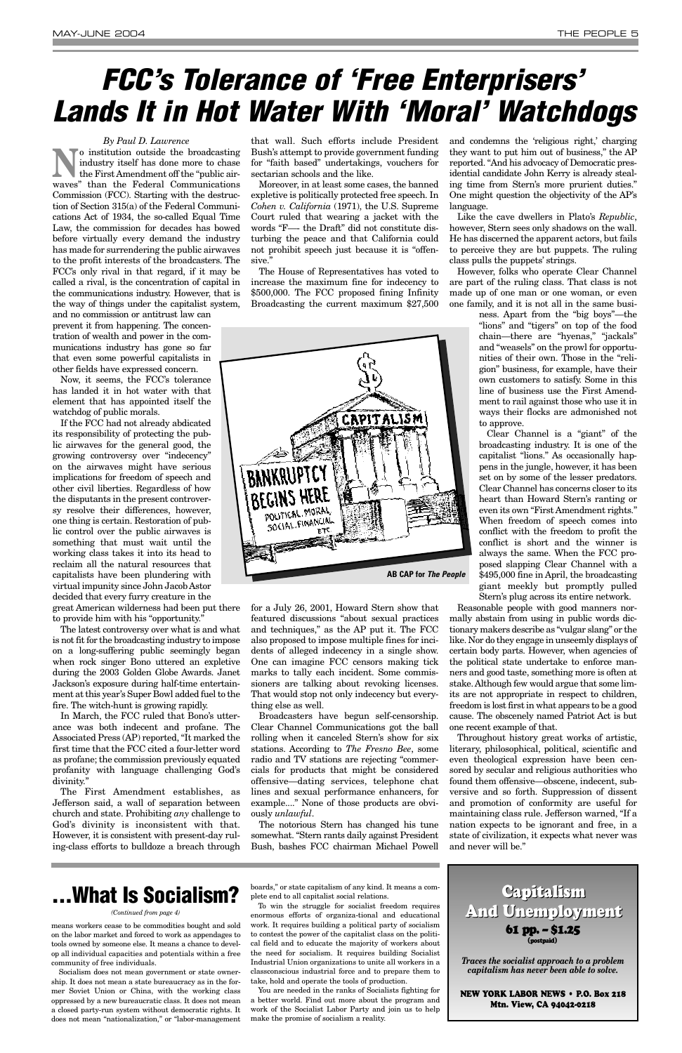### *By Paul D. Lawrence*

**No** institution outside the broadcasting<br>the First Amendment off the "public air-<br>" industry itself has done more to chase the First Amendment off the "public airwaves" than the Federal Communications Commission (FCC). Starting with the destruction of Section 315(a) of the Federal Communications Act of 1934, the so-called Equal Time Law, the commission for decades has bowed before virtually every demand the industry has made for surrendering the public airwaves to the profit interests of the broadcasters. The FCC's only rival in that regard, if it may be called a rival, is the concentration of capital in the communications industry. However, that is the way of things under the capitalist system,

and no commission or antitrust law can prevent it from happening. The concentration of wealth and power in the communications industry has gone so far that even some powerful capitalists in other fields have expressed concern.

Now, it seems, the FCC's tolerance has landed it in hot water with that element that has appointed itself the watchdog of public morals.

If the FCC had not already abdicated its responsibility of protecting the public airwaves for the general good, the growing controversy over "indecency" on the airwaves might have serious implications for freedom of speech and other civil liberties. Regardless of how the disputants in the present controversy resolve their differences, however, one thing is certain. Restoration of public control over the public airwaves is something that must wait until the working class takes it into its head to reclaim all the natural resources that capitalists have been plundering with virtual impunity since John Jacob Astor decided that every furry creature in the great American wilderness had been put there

to provide him with his "opportunity." The latest controversy over what is and what is not fit for the broadcasting industry to impose on a long-suffering public seemingly began when rock singer Bono uttered an expletive during the 2003 Golden Globe Awards. Janet Jackson's exposure during half-time entertainment at this year's Super Bowl added fuel to the fire. The witch-hunt is growing rapidly.

In March, the FCC ruled that Bono's utterance was both indecent and profane. The Associated Press (AP) reported, "It marked the first time that the FCC cited a four-letter word as profane; the commission previously equated profanity with language challenging God's

divinity."

The First Amendment establishes, as Jefferson said, a wall of separation between church and state. Prohibiting *any* challenge to God's divinity is inconsistent with that. However, it is consistent with present-day ruling-class efforts to bulldoze a breach through

that wall. Such efforts include President Bush's attempt to provide government funding for "faith based" undertakings, vouchers for sectarian schools and the like.

Moreover, in at least some cases, the banned expletive is politically protected free speech. In *Cohen v. California* (1971), the U.S. Supreme Court ruled that wearing a jacket with the words "F—- the Draft" did not constitute disturbing the peace and that California could not prohibit speech just because it is "offensive."

The House of Representatives has voted to increase the maximum fine for indecency to \$500,000. The FCC proposed fining Infinity Broadcasting the current maximum \$27,500

for a July 26, 2001, Howard Stern show that featured discussions "about sexual practices and techniques," as the AP put it. The FCC also proposed to impose multiple fines for incidents of alleged indecency in a single show. One can imagine FCC censors making tick marks to tally each incident. Some commissioners are talking about revoking licenses. That would stop not only indecency but everything else as well.

Broadcasters have begun self-censorship. Clear Channel Communications got the ball rolling when it canceled Stern's show for six stations. According to *The Fresno Bee*, some radio and TV stations are rejecting "commercials for products that might be considered offensive—dating services, telephone chat lines and sexual performance enhancers, for example...." None of those products are obviously *unlawful*.

The notorious Stern has changed his tune somewhat. "Stern rants daily against President Bush, bashes FCC chairman Michael Powell

and condemns the 'religious right,' charging they want to put him out of business," the AP reported. "And his advocacy of Democratic presidential candidate John Kerry is already stealing time from Stern's more prurient duties." One might question the objectivity of the AP's language.

Like the cave dwellers in Plato's *Republic*, however, Stern sees only shadows on the wall. He has discerned the apparent actors, but fails to perceive they are but puppets. The ruling class pulls the puppets' strings.

However, folks who operate Clear Channel are part of the ruling class. That class is not made up of one man or one woman, or even one family, and it is not all in the same busi-

> ness. Apart from the "big boys"—the "lions" and "tigers" on top of the food chain—there are "hyenas," "jackals" and "weasels" on the prowl for opportunities of their own. Those in the "religion" business, for example, have their own customers to satisfy. Some in this line of business use the First Amendment to rail against those who use it in ways their flocks are admonished not to approve.

> Clear Channel is a "giant" of the broadcasting industry. It is one of the capitalist "lions." As occasionally happens in the jungle, however, it has been set on by some of the lesser predators. Clear Channel has concerns closer to its heart than Howard Stern's ranting or even its own "First Amendment rights." When freedom of speech comes into conflict with the freedom to profit the conflict is short and the winner is always the same. When the FCC proposed slapping Clear Channel with a \$495,000 fine in April, the broadcasting giant meekly but promptly pulled Stern's plug across its entire network.

Reasonable people with good manners normally abstain from using in public words dictionary makers describe as "vulgar slang" or the like. Nor do they engage in unseemly displays of certain body parts. However, when agencies of the political state undertake to enforce manners and good taste, something more is often at stake. Although few would argue that some limits are not appropriate in respect to children, freedom is lost first in what appears to be a good cause. The obscenely named Patriot Act is but one recent example of that.

Throughout history great works of artistic, literary, philosophical, political, scientific and even theological expression have been censored by secular and religious authorities who found them offensive—obscene, indecent, subversive and so forth. Suppression of dissent and promotion of conformity are useful for maintaining class rule. Jefferson warned, "If a nation expects to be ignorant and free, in a state of civilization, it expects what never was and never will be."

# *FCC's Tolerance of 'Free Enterprisers' Lands It in Hot Water With 'Moral' Watchdogs*

means workers cease to be commodities bought and sold on the labor market and forced to work as appendages to tools owned by someone else. It means a chance to develop all individual capacities and potentials within a free community of free individuals.

Socialism does not mean government or state ownership. It does not mean a state bureaucracy as in the former Soviet Union or China, with the working class oppressed by a new bureaucratic class. It does not mean a closed party-run system without democratic rights. It does not mean "nationalization," or "labor-management

boards," or state capitalism of any kind. It means a complete end to all capitalist social relations.

To win the struggle for socialist freedom requires enormous efforts of organiza-tional and educational work. It requires building a political party of socialism to contest the power of the capitalist class on the political field and to educate the majority of workers about the need for socialism. It requires building Socialist Industrial Union organizations to unite all workers in a classconscious industrial force and to prepare them to take, hold and operate the tools of production.

You are needed in the ranks of Socialists fighting for a better world. Find out more about the program and work of the Socialist Labor Party and join us to help make the promise of socialism a reality.

*(Continued from page 4)*

# **. . . What Is Socialism?**

*Traces the socialist approach to a problem capitalism has never been able to solve.*

NEW YORK LABOR NEWS • P.O. Box 218 Mtn. View, CA 94042-0218

61 pp. – \$1.25 (postpaid) Capitalism Capitalism And Unemployment And Unemployment

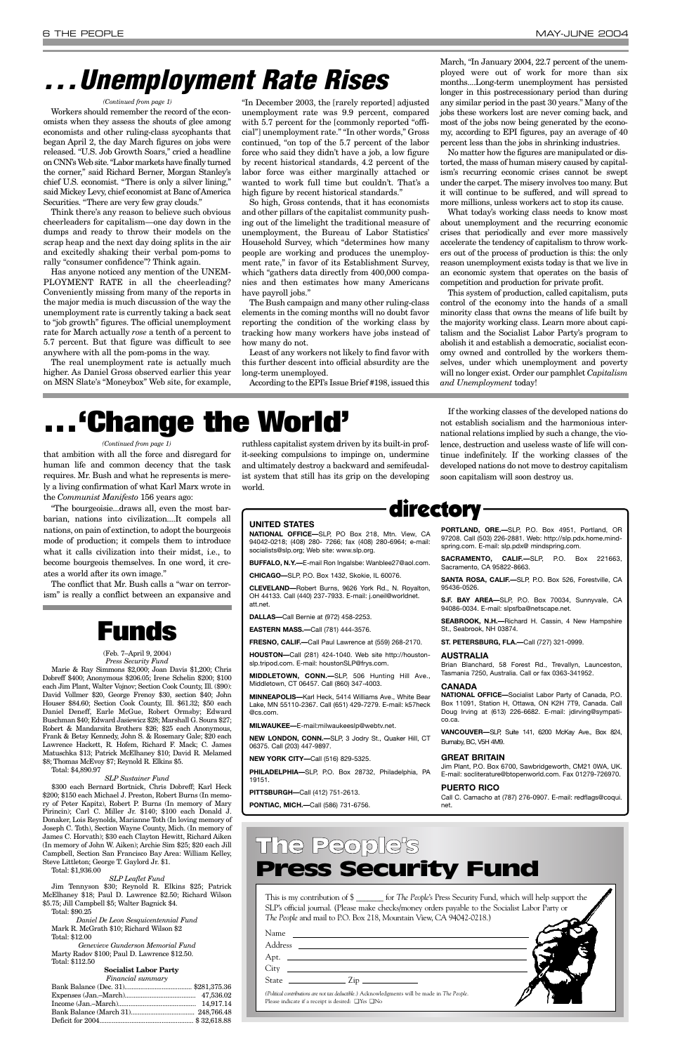that ambition with all the force and disregard for human life and common decency that the task requires. Mr. Bush and what he represents is merely a living confirmation of what Karl Marx wrote in the *Communist Manifesto* 156 years ago:

"The bourgeoisie...draws all, even the most barbarian, nations into civilization....It compels all nations, on pain of extinction, to adopt the bourgeois mode of production; it compels them to introduce what it calls civilization into their midst, i.e., to become bourgeois themselves. In one word, it creates a world after its own image."

The conflict that Mr. Bush calls a "war on terrorism" is really a conflict between an expansive and

ruthless capitalist system driven by its built-in profit-seeking compulsions to impinge on, undermine and ultimately destroy a backward and semifeudalist system that still has its grip on the developing world.

If the working classes of the developed nations do not establish socialism and the harmonious international relations implied by such a change, the violence, destruction and useless waste of life will continue indefinitely. If the working classes of the developed nations do not move to destroy capitalism soon capitalism will soon destroy us.

Workers should remember the record of the economists when they assess the shouts of glee among economists and other ruling-class sycophants that began April 2, the day March figures on jobs were released. "U.S. Job Growth Soars," cried a headline on CNN's Web site. "Labor markets have finally turned the corner," said Richard Berner, Morgan Stanley's chief U.S. economist. "There is only a silver lining," said Mickey Levy, chief economist at Banc of America Securities. "There are very few gray clouds."

Think there's any reason to believe such obvious cheerleaders for capitalism—one day down in the dumps and ready to throw their models on the scrap heap and the next day doing splits in the air and excitedly shaking their verbal pom-poms to rally "consumer confidence"? Think again.

Has anyone noticed any mention of the UNEM-PLOYMENT RATE in all the cheerleading? Conveniently missing from many of the reports in the major media is much discussion of the way the unemployment rate is currently taking a back seat to "job growth" figures. The official unemployment rate for March actually *rose* a tenth of a percent to 5.7 percent. But that figure was difficult to see anywhere with all the pom-poms in the way.

The real unemployment rate is actually much higher. As Daniel Gross observed earlier this year on MSN Slate's "Moneybox" Web site, for example,

"In December 2003, the [rarely reported] adjusted unemployment rate was 9.9 percent, compared with 5.7 percent for the [commonly reported "official"] unemployment rate." "In other words," Gross continued, "on top of the 5.7 percent of the labor force who said they didn't have a job, a low figure by recent historical standards, 4.2 percent of the labor force was either marginally attached or wanted to work full time but couldn't. That's a high figure by recent historical standards."

So high, Gross contends, that it has economists and other pillars of the capitalist community pushing out of the limelight the traditional measure of unemployment, the Bureau of Labor Statistics' Household Survey, which "determines how many people are working and produces the unemployment rate," in favor of its Establishment Survey, which "gathers data directly from 400,000 companies and then estimates how many Americans have payroll jobs."

The Bush campaign and many other ruling-class elements in the coming months will no doubt favor reporting the condition of the working class by tracking how many workers have jobs instead of how many do not.

Least of any workers not likely to find favor with this further descent into official absurdity are the long-term unemployed.

According to the EPI's Issue Brief #198, issued this

March, "In January 2004, 22.7 percent of the unemployed were out of work for more than six months....Long-term unemployment has persisted longer in this postrecessionary period than during any similar period in the past 30 years." Many of the jobs these workers lost are never coming back, and most of the jobs now being generated by the economy, according to EPI figures, pay an average of 40 percent less than the jobs in shrinking industries.

No matter how the figures are manipulated or distorted, the mass of human misery caused by capitalism's recurring economic crises cannot be swept under the carpet. The misery involves too many. But it will continue to be suffered, and will spread to more millions, unless workers act to stop its cause.

What today's working class needs to know most about unemployment and the recurring economic crises that periodically and ever more massively accelerate the tendency of capitalism to throw workers out of the process of production is this: the only reason unemployment exists today is that we live in an economic system that operates on the basis of competition and production for private profit.

This system of production, called capitalism, puts control of the economy into the hands of a small minority class that owns the means of life built by the majority working class. Learn more about capitalism and the Socialist Labor Party's program to abolish it and establish a democratic, socialist economy owned and controlled by the workers themselves, under which unemployment and poverty will no longer exist. Order our pamphlet *Capitalism and Unemployment* today!

# *. . . Unemployment Rate Rises*

This is my contribution of \$ \_\_\_\_\_\_\_ for *The People*'s Press Security Fund, which will help support the SLP's official journal. (Please make checks/money orders payable to the Socialist Labor Party or *The People* and mail to P.O. Box 218, Mountain View, CA 94042-0218.)

| ×<br>- 1 | ×<br>۰,<br>- -<br>×<br>٠<br>w |
|----------|-------------------------------|
|----------|-------------------------------|

Address \_\_

Apt.

City

State <u>Zip</u>

*(Political contributions are not tax deductible.)* Acknowledgments will be made in *The People*. Please indicate if a receipt is desired: ❑ Yes ❑ No

## The People's Press Security Fund

### directory

### **UNITED STATES**

**NATIONAL OFFICE—**SLP, PO Box 218, Mtn. View, CA 94042-0218; (408) 280- 7266; fax (408) 280-6964; e-mail: socialists@slp.org; Web site: www.slp.org.

**BUFFALO, N.Y.—**E-mail Ron Ingalsbe: Wanblee27@aol.com.

**CHICAGO—**SLP, P.O. Box 1432, Skokie, IL 60076.

**CLEVELAND—**Robert Burns, 9626 York Rd., N. Royalton, OH 44133. Call (440) 237-7933. E-mail: j.oneil@worldnet. att.net.

**DALLAS—**Call Bernie at (972) 458-2253.

**EASTERN MASS.—**Call (781) 444-3576.

**FRESNO, CALIF.—**Call Paul Lawrence at (559) 268-2170.

**HOUSTON—**Call (281) 424-1040. Web site http://houstonslp.tripod.com. E-mail: houstonSLP@frys.com.

**MIDDLETOWN, CONN.—**SLP, 506 Hunting Hill Ave., Middletown, CT 06457. Call (860) 347-4003.

**MINNEAPOLIS—**Karl Heck, 5414 Williams Ave., White Bear Lake, MN 55110-2367. Call (651) 429-7279. E-mail: k57heck @cs.com.

**MILWAUKEE—**E-mail:milwaukeeslp@webtv.net.

**NEW LONDON, CONN.—**SLP, 3 Jodry St., Quaker Hill, CT 06375. Call (203) 447-9897.

**NEW YORK CITY—**Call (516) 829-5325.

**PHILADELPHIA—**SLP, P.O. Box 28732, Philadelphia, PA

19151.

**PITTSBURGH—**Call (412) 751-2613.

**PONTIAC, MICH.—**Call (586) 731-6756.

**PORTLAND, ORE.—**SLP, P.O. Box 4951, Portland, OR 97208. Call (503) 226-2881. Web: http://slp.pdx.home.mindspring.com. E-mail: slp.pdx@ mindspring.com.

**SACRAMENTO, CALIF.—**SLP, P.O. Box 221663, Sacramento, CA 95822-8663.

**SANTA ROSA, CALIF.—**SLP, P.O. Box 526, Forestville, CA 95436-0526.

**S.F. BAY AREA—**SLP, P.O. Box 70034, Sunnyvale, CA 94086-0034. E-mail: slpsfba@netscape.net.

**SEABROOK, N.H.—**Richard H. Cassin, 4 New Hampshire St., Seabrook, NH 03874.

**ST. PETERSBURG, FLA.—**Call (727) 321-0999.

### **AUSTRALIA**

Brian Blanchard, 58 Forest Rd., Trevallyn, Launceston, Tasmania 7250, Australia. Call or fax 0363-341952.

#### **CANADA**

**NATIONAL OFFICE—**Socialist Labor Party of Canada, P.O. Box 11091, Station H, Ottawa, ON K2H 7T9, Canada. Call Doug Irving at (613) 226-6682. E-mail: jdirving@sympatico.ca.

**VANCOUVER—**SLP, Suite 141, 6200 McKay Ave., Box 824, Burnaby, BC, V5H 4M9.

#### **GREAT BRITAIN**

Jim Plant, P.O. Box 6700, Sawbridgeworth, CM21 0WA, UK.

E-mail: socliterature@btopenworld.com. Fax 01279-726970.

### **PUERTO RICO**

Call C. Camacho at (787) 276-0907. E-mail: redflags@coqui. net.

### *(Continued from page 1)*

# **. . . 'Change the World'**

### *(Continued from page 1)*

### (Feb. 7–April 9, 2004) *Press Security Fund*

Marie & Ray Simmons \$2,000; Joan Davis \$1,200; Chris Dobreff \$400; Anonymous \$206.05; Irene Schelin \$200; \$100 each Jim Plant, Walter Vojnov; Section Cook County, Ill. (\$90): David Vollmer \$20, George Frenoy \$30, section \$40; John Houser \$84.60; Section Cook County, Ill. \$61.32; \$50 each Daniel Deneff, Earle McGue, Robert Ormsby; Edward Buschman \$40; Edward Jasiewicz \$28; Marshall G. Soura \$27; Robert & Mandarsita Brothers \$26; \$25 each Anonymous, Frank & Betsy Kennedy, John S. & Rosemary Gale; \$20 each Lawrence Hackett, R. Hofem, Richard F. Mack; C. James Matuschka \$13; Patrick McElhaney \$10; David R. Melamed \$8; Thomas McEvoy \$7; Reynold R. Elkins \$5.

Total: \$4,890.97

### *SLP Sustainer Fund*

\$300 each Bernard Bortnick, Chris Dobreff; Karl Heck \$200; \$150 each Michael J. Preston, Robert Burns (In memory of Peter Kapitz), Robert P. Burns (In memory of Mary Pirincin); Carl C. Miller Jr. \$140; \$100 each Donald J. Donaker, Lois Reynolds, Marianne Toth (In loving memory of Joseph C. Toth), Section Wayne County, Mich. (In memory of James C. Horvath); \$30 each Clayton Hewitt, Richard Aiken (In memory of John W. Aiken); Archie Sim \$25; \$20 each Jill Campbell, Section San Francisco Bay Area: William Kelley, Steve Littleton; George T. Gaylord Jr. \$1.

Total: \$1,936.00

*SLP Leaflet Fund*

Jim Tennyson \$30; Reynold R. Elkins \$25; Patrick McElhaney \$18; Paul D. Lawrence \$2.50; Richard Wilson \$5.75; Jill Campbell \$5; Walter Bagnick \$4.

Total: \$90.25

*Daniel De Leon Sesquicentennial Fund* Mark R. McGrath \$10; Richard Wilson \$2 Total: \$12.00

*Genevieve Gunderson Memorial Fund* Marty Radov \$100; Paul D. Lawrence \$12.50. Total: \$112.50

### **Socialist Labor Party**

*Financial summary*

# **Funds**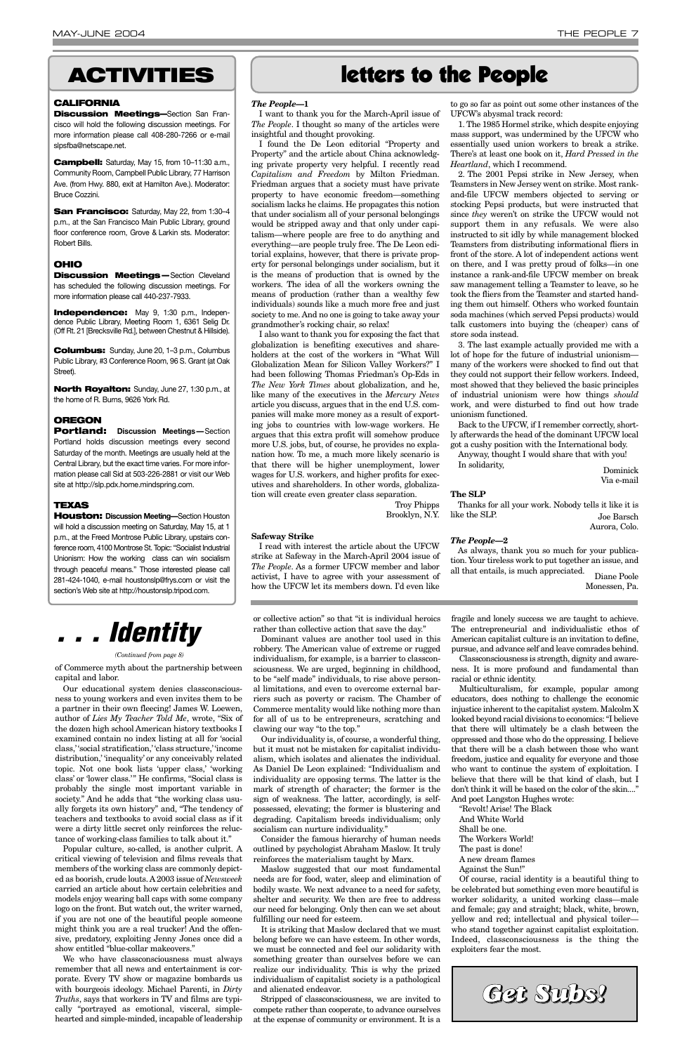### *The People***—1**

I want to thank you for the March-April issue of *The People*. I thought so many of the articles were insightful and thought provoking.

I found the De Leon editorial "Property and Property" and the article about China acknowledging private property very helpful. I recently read *Capitalism and Freedom* by Milton Friedman. Friedman argues that a society must have private property to have economic freedom—something socialism lacks he claims. He propagates this notion that under socialism all of your personal belongings would be stripped away and that only under capitalism—where people are free to do anything and everything—are people truly free. The De Leon editorial explains, however, that there is private property for personal belongings under socialism, but it is the means of production that is owned by the workers. The idea of all the workers owning the means of production (rather than a wealthy few individuals) sounds like a much more free and just society to me. And no one is going to take away your grandmother's rocking chair, so relax!

I also want to thank you for exposing the fact that globalization is benefiting executives and shareholders at the cost of the workers in "What Will Globalization Mean for Silicon Valley Workers?" I had been following Thomas Friedman's Op-Eds in *The New York Times* about globalization, and he, like many of the executives in the *Mercury News* article you discuss, argues that in the end U.S. companies will make more money as a result of exporting jobs to countries with low-wage workers. He argues that this extra profit will somehow produce more U.S. jobs, but, of course, he provides no explanation how. To me, a much more likely scenario is that there will be higher unemployment, lower wages for U.S. workers, and higher profits for executives and shareholders. In other words, globalization will create even greater class separation.

> Troy Phipps Brooklyn, N.Y.

### **Safeway Strike**

I read with interest the article about the UFCW strike at Safeway in the March-April 2004 issue of *The People*. As a former UFCW member and labor activist, I have to agree with your assessment of how the UFCW let its members down. I'd even like

to go so far as point out some other instances of the UFCW's abysmal track record:

1. The 1985 Hormel strike, which despite enjoying mass support, was undermined by the UFCW who essentially used union workers to break a strike. There's at least one book on it, *Hard Pressed in the Heartland*, which I recommend.

2. The 2001 Pepsi strike in New Jersey, when Teamsters in New Jersey went on strike. Most rankand-file UFCW members objected to serving or stocking Pepsi products, but were instructed that since *they* weren't on strike the UFCW would not support them in any refusals. We were also instructed to sit idly by while management blocked Teamsters from distributing informational fliers in front of the store. A lot of independent actions went on there, and I was pretty proud of folks—in one instance a rank-and-file UFCW member on break saw management telling a Teamster to leave, so he took the fliers from the Teamster and started handing them out himself. Others who worked fountain soda machines (which served Pepsi products) would talk customers into buying the (cheaper) cans of store soda instead.

3. The last example actually provided me with a lot of hope for the future of industrial unionism many of the workers were shocked to find out that they could not support their fellow workers. Indeed, most showed that they believed the basic principles of industrial unionism were how things *should* work, and were disturbed to find out how trade unionism functioned.

Back to the UFCW, if I remember correctly, shortly afterwards the head of the dominant UFCW local got a cushy position with the International body.

Anyway, thought I would share that with you! In solidarity, Dominick

Via e-mail

### **The SLP**

Thanks for all your work. Nobody tells it like it is like the SLP. Joe Barsch Aurora, Colo.

### *The People***—2**

As always, thank you so much for your publication. Your tireless work to put together an issue, and all that entails, is much appreciated. Diane Poole

Monessen, Pa.

of Commerce myth about the partnership between capital and labor.

**San Francisco: Saturday, May 22, from 1:30-4** p.m., at the San Francisco Main Public Library, ground floor conference room, Grove & Larkin sts. Moderator: Robert Bills.

**Discussion Meetings**—Section Cleveland has scheduled the following discussion meetings. For more information please call 440-237-7933.

Our educational system denies classconsciousness to young workers and even invites them to be a partner in their own fleecing! James W. Loewen, author of *Lies My Teacher Told Me*, wrote, "Six of the dozen high school American history textbooks I examined contain no index listing at all for 'social class,''social stratification,''class structure,''income distribution,' 'inequality' or any conceivably related topic. Not one book lists 'upper class,' 'working class' or 'lower class.'" He confirms, "Social class is probably the single most important variable in society." And he adds that "the working class usually forgets its own history" and, "The tendency of teachers and textbooks to avoid social class as if it were a dirty little secret only reinforces the reluctance of working-class families to talk about it." Popular culture, so-called, is another culprit. A critical viewing of television and films reveals that members of the working class are commonly depicted as boorish, crude louts. A2003 issue of *Newsweek* carried an article about how certain celebrities and models enjoy wearing ball caps with some company logo on the front. But watch out, the writer warned, if you are not one of the beautiful people someone might think you are a real trucker! And the offensive, predatory, exploiting Jenny Jones once did a show entitled "blue-collar makeovers." We who have classconsciousness must always remember that all news and entertainment is corporate. Every TV show or magazine bombards us with bourgeois ideology. Michael Parenti, in *Dirty Truths*, says that workers in TV and films are typically "portrayed as emotional, visceral, simplehearted and simple-minded, incapable of leadership

or collective action" so that "it is individual heroics rather than collective action that save the day."

Dominant values are another tool used in this robbery. The American value of extreme or rugged individualism, for example, is a barrier to classconsciousness. We are urged, beginning in childhood, to be "self made" individuals, to rise above personal limitations, and even to overcome external barriers such as poverty or racism. The Chamber of Commerce mentality would like nothing more than for all of us to be entrepreneurs, scratching and clawing our way "to the top."

Our individuality is, of course, a wonderful thing, but it must not be mistaken for capitalist individualism, which isolates and alienates the individual. As Daniel De Leon explained: "Individualism and individuality are opposing terms. The latter is the mark of strength of character; the former is the sign of weakness. The latter, accordingly, is selfpossessed, elevating; the former is blustering and degrading. Capitalism breeds individualism; only socialism can nurture individuality."

Consider the famous hierarchy of human needs outlined by psychologist Abraham Maslow. It truly reinforces the materialism taught by Marx.

Maslow suggested that our most fundamental needs are for food, water, sleep and elimination of bodily waste. We next advance to a need for safety, shelter and security. We then are free to address our need for belonging. Only then can we set about fulfilling our need for esteem.

It is striking that Maslow declared that we must belong before we can have esteem. In other words, we must be connected and feel our solidarity with something greater than ourselves before we can realize our individuality. This is why the prized individualism of capitalist society is a pathological and alienated endeavor.

Stripped of classconsciousness, we are invited to compete rather than cooperate, to advance ourselves at the expense of community or environment. It is a

fragile and lonely success we are taught to achieve. The entrepreneurial and individualistic ethos of American capitalist culture is an invitation to define, pursue, and advance self and leave comrades behind.

Classconsciousness is strength, dignity and awareness. It is more profound and fundamental than racial or ethnic identity.

Multiculturalism, for example, popular among educators, does nothing to challenge the economic injustice inherent to the capitalist system. Malcolm X looked beyond racial divisions to economics: "I believe that there will ultimately be a clash between the oppressed and those who do the oppressing. I believe that there will be a clash between those who want freedom, justice and equality for everyone and those who want to continue the system of exploitation. I believe that there will be that kind of clash, but I don't think it will be based on the color of the skin...." And poet Langston Hughes wrote: "Revolt! Arise! The Black And White World Shall be one. The Workers World! The past is done!

A new dream flames

Against the Sun!"

Of course, racial identity is a beautiful thing to be celebrated but something even more beautiful is worker solidarity, a united working class—male and female; gay and straight; black, white, brown, yellow and red; intellectual and physical toiler who stand together against capitalist exploitation. Indeed, classconsciousness is the thing the exploiters fear the most.



### letters to the People

### *(Continued from page 8)*

### **ACTIVITIES**

### **CALIFORNIA**

**Discussion Meetings—**Section San Francisco will hold the following discussion meetings. For more information please call 408-280-7266 or e-mail slpsfba@netscape.net.

**Campbell:** Saturday, May 15, from 10–11:30 a.m., Community Room, Campbell Public Library, 77 Harrison Ave. (from Hwy. 880, exit at Hamilton Ave.). Moderator: Bruce Cozzini.

### **OHIO**

**Independence:** May 9, 1:30 p.m., Independence Public Library, Meeting Room 1, 6361 Selig Dr. (Off Rt. 21 [Brecksville Rd.], between Chestnut & Hillside).

**Columbus:** Sunday, June 20, 1–3 p.m., Columbus Public Library, #3 Conference Room, 96 S. Grant (at Oak Street).

**North Royalton:** Sunday, June 27, 1:30 p.m., at the home of R. Burns, 9626 York Rd.

### **OREGON**

**Portland: Discussion Meetings —**Section Portland holds discussion meetings every second Saturday of the month. Meetings are usually held at the Central Library, but the exact time varies. For more information please call Sid at 503-226-2881 or visit our Web site at http://slp.pdx.home.mindspring.com.

### **TEXAS**

**Houston: Discussion Meeting—**Section Houston will hold a discussion meeting on Saturday, May 15, at 1 p.m., at the Freed Montrose Public Library, upstairs conference room, 4100 Montrose St. Topic: "Socialist Industrial Unionism: How the working class can win socialism through peaceful means." Those interested please call 281-424-1040, e-mail houstonslp@frys.com or visit the section's Web site at http://houstonslp.tripod.com.

*Get Subs!*